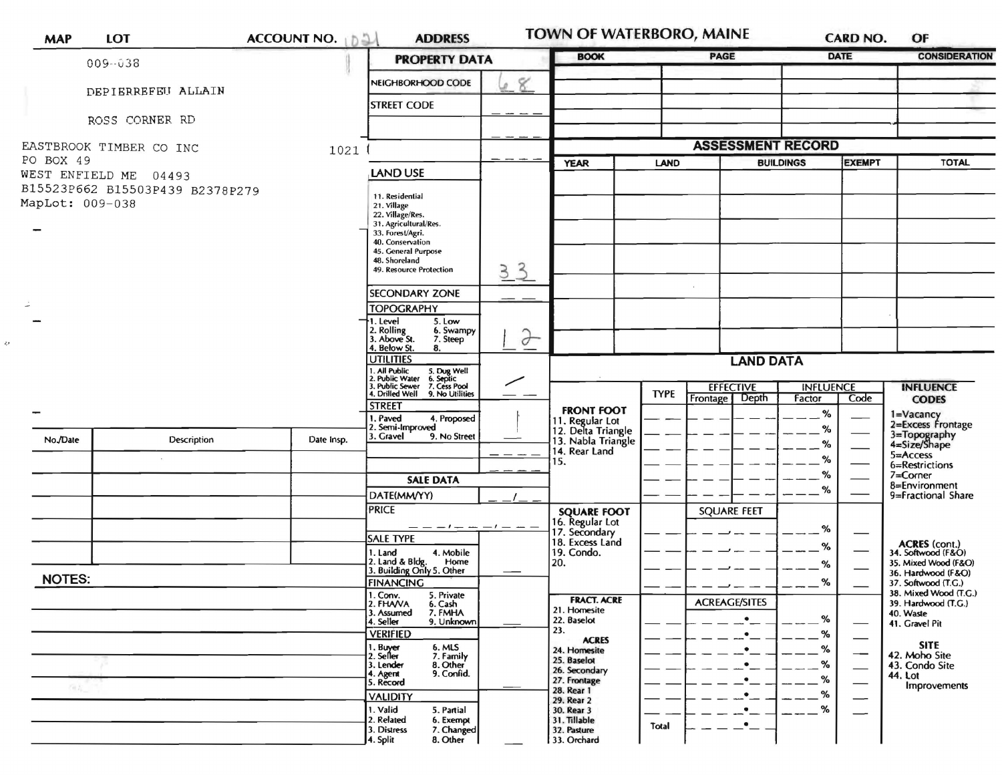|                                    |                                 |            | <b>PROPERTY DATA</b>                                                                                       |                    |                                                | <b>BOOK</b>              |                          |                  | <b>DATE</b>              | <b>CONSIDERATION</b>                         |
|------------------------------------|---------------------------------|------------|------------------------------------------------------------------------------------------------------------|--------------------|------------------------------------------------|--------------------------|--------------------------|------------------|--------------------------|----------------------------------------------|
| 009-038                            |                                 |            |                                                                                                            |                    |                                                |                          |                          |                  |                          |                                              |
|                                    | DEPIERREFEU ALLAIN              |            | NEIGHBORHOOD CODE                                                                                          | 8<br>$\mathcal{D}$ |                                                |                          |                          |                  |                          |                                              |
| ROSS CORNER RD                     |                                 |            | <b>STREET CODE</b>                                                                                         |                    |                                                |                          |                          |                  |                          |                                              |
|                                    |                                 |            |                                                                                                            |                    |                                                |                          |                          |                  |                          |                                              |
| EASTBROOK TIMBER CO INC<br>1021    |                                 |            |                                                                                                            |                    |                                                | <b>ASSESSMENT RECORD</b> |                          |                  |                          |                                              |
| PO BOX 49<br>WEST ENFIELD ME 04493 |                                 |            | <b>LAND USE</b>                                                                                            |                    | <b>YEAR</b>                                    | LAND                     |                          | <b>BUILDINGS</b> | <b>EXEMPT</b>            | <b>TOTAL</b>                                 |
|                                    | B15523P662 B15503P439 B2378P279 |            | 11. Residential                                                                                            |                    |                                                |                          |                          |                  |                          |                                              |
| MapLot: 009-038                    |                                 |            | 21. Village<br>22. Village/Res.                                                                            |                    |                                                |                          |                          |                  |                          |                                              |
|                                    |                                 |            | 31. Agricultural/Res.<br>33. Forest/Agri.                                                                  |                    |                                                |                          |                          |                  |                          |                                              |
|                                    |                                 |            | 40. Conservation<br>45. General Purpose                                                                    |                    |                                                |                          |                          |                  |                          |                                              |
|                                    |                                 |            | 48. Shoreland<br>49. Resource Protection                                                                   | 33                 |                                                |                          |                          |                  |                          |                                              |
|                                    |                                 |            | <b>SECONDARY ZONE</b>                                                                                      |                    |                                                |                          |                          |                  |                          |                                              |
|                                    |                                 |            | <b>TOPOGRAPHY</b>                                                                                          |                    |                                                |                          |                          |                  |                          |                                              |
|                                    |                                 |            | 1. Level<br>5. Low<br>2. Rolling<br>3. Above St.<br>6. Swampy                                              | $\partial$         |                                                |                          |                          |                  |                          |                                              |
|                                    |                                 |            | 7. Steep<br>4. Below St.<br>8.                                                                             |                    |                                                |                          |                          |                  |                          |                                              |
|                                    |                                 |            | <b>UTILITIES</b><br>1. All Public 5. Dug Well<br>2. Public Water 6. Septic<br>3. Public Sewer 7. Cess Pool |                    | <b>LAND DATA</b>                               |                          |                          |                  |                          |                                              |
|                                    |                                 |            |                                                                                                            | ╱                  |                                                | <b>TYPE</b>              | <b>EFFECTIVE</b>         | <b>INFLUENCE</b> |                          | <b>INFLUENCE</b>                             |
|                                    |                                 |            | 4. Drilled Well 9. No Utilities<br><b>STREET</b>                                                           |                    | <b>FRONT FOOT</b>                              |                          | <b>Frontage</b><br>Depth | Factor<br>%      | Code                     | <b>CODES</b><br>1=Vacancy                    |
|                                    |                                 |            | 1. Paved<br>4. Proposed<br>2. Semi-Improved<br>3. Gravel<br>9. No Street                                   |                    | 11. Regular Lot<br>12. Delta Triangle          |                          |                          | %                |                          | 2=Excess Frontage                            |
| No./Date                           | Description                     | Date Insp. |                                                                                                            |                    | 13. Nabla Triangle<br>14. Rear Land            |                          |                          | $\%$             |                          | 3=Topography<br>4=Size/Shape<br>$5 =$ Access |
|                                    |                                 |            |                                                                                                            |                    | 15.                                            |                          |                          | %<br>%           |                          | 6=Restrictions<br>7=Corner                   |
|                                    |                                 |            | <b>SALE DATA</b>                                                                                           |                    |                                                |                          |                          | %                |                          | 8=Environment                                |
|                                    |                                 |            | DATE(MM/YY)<br><b>PRICE</b>                                                                                |                    | <b>SQUARE FOOT</b>                             |                          | <b>SQUARE FEET</b>       |                  |                          | 9=Fractional Share                           |
|                                    |                                 |            | __ __ _                                                                                                    |                    | 16. Regular Lot                                |                          |                          | %                |                          |                                              |
|                                    |                                 |            | <b>SALE TYPE</b><br>4. Mobile<br>1. Land                                                                   |                    | 17. Secondary<br>18. Excess Land<br>19. Condo. |                          |                          | %                |                          | ACRES (cont.)<br>34. Softwood (F&O)          |
|                                    |                                 |            | 2. Land & Bldg. Home<br>3. Building Only 5. Other<br>Home                                                  |                    | 20.                                            |                          |                          | ℅                |                          | 35. Mixed Wood (F&O)<br>36. Hardwood (F&O)   |
| <b>NOTES:</b>                      |                                 |            | <b>FINANCING</b>                                                                                           |                    |                                                |                          |                          | ℅                |                          | 37. Softwood (T.G.)<br>38. Mixed Wood (T.G.) |
|                                    |                                 |            | 1. Conv.<br>5. Private<br>2. FHAVA<br>6. Cash<br>3. Assumed                                                |                    | <b>FRACT. ACRE</b><br>21. Homesite             |                          | <b>ACREAGE/SITES</b>     |                  |                          | 39. Hardwood (T.G.)                          |
|                                    |                                 |            | 7. FMHA<br>9. Unknown<br>4. Seller                                                                         |                    | 22. Baselot<br>23.                             |                          | $\bullet$                | %                |                          | 40. Waste<br>41. Gravel Pit                  |
|                                    |                                 |            | <b>VERIFIED</b><br>6. MLS<br>7. Family<br>1. Buyer<br>2. Seller                                            |                    | <b>ACRES</b><br>24. Homesite                   |                          |                          | %<br>%           |                          | <b>SITE</b>                                  |
|                                    |                                 |            | 3. Lender<br>8. Other                                                                                      |                    | 25. Baselot<br>26. Secondary                   |                          |                          | $\%$             | $\overline{\phantom{0}}$ | 42. Moho Site<br>43. Condo Site              |
| 向左                                 |                                 |            | 9. Confid.<br>4. Agent<br>5. Record                                                                        |                    | 27. Frontage<br>28. Rear 1                     |                          |                          | %                |                          | 44. Lot<br>Improvements                      |
|                                    |                                 |            | <b>VALIDITY</b><br>1. Valid<br>5. Partial                                                                  |                    | 29. Rear 2<br>30. Rear 3                       |                          | $\bullet$                | $\%$<br>%        |                          |                                              |
|                                    |                                 |            | 2. Related<br>6. Exempt                                                                                    |                    | 31. Tillable                                   | Total                    | $\bullet$                |                  |                          |                                              |
|                                    |                                 |            | 3. Distress<br>7. Changed<br>8. Other<br>4. Split                                                          |                    | 32. Pasture<br>33. Orchard                     |                          |                          |                  |                          |                                              |